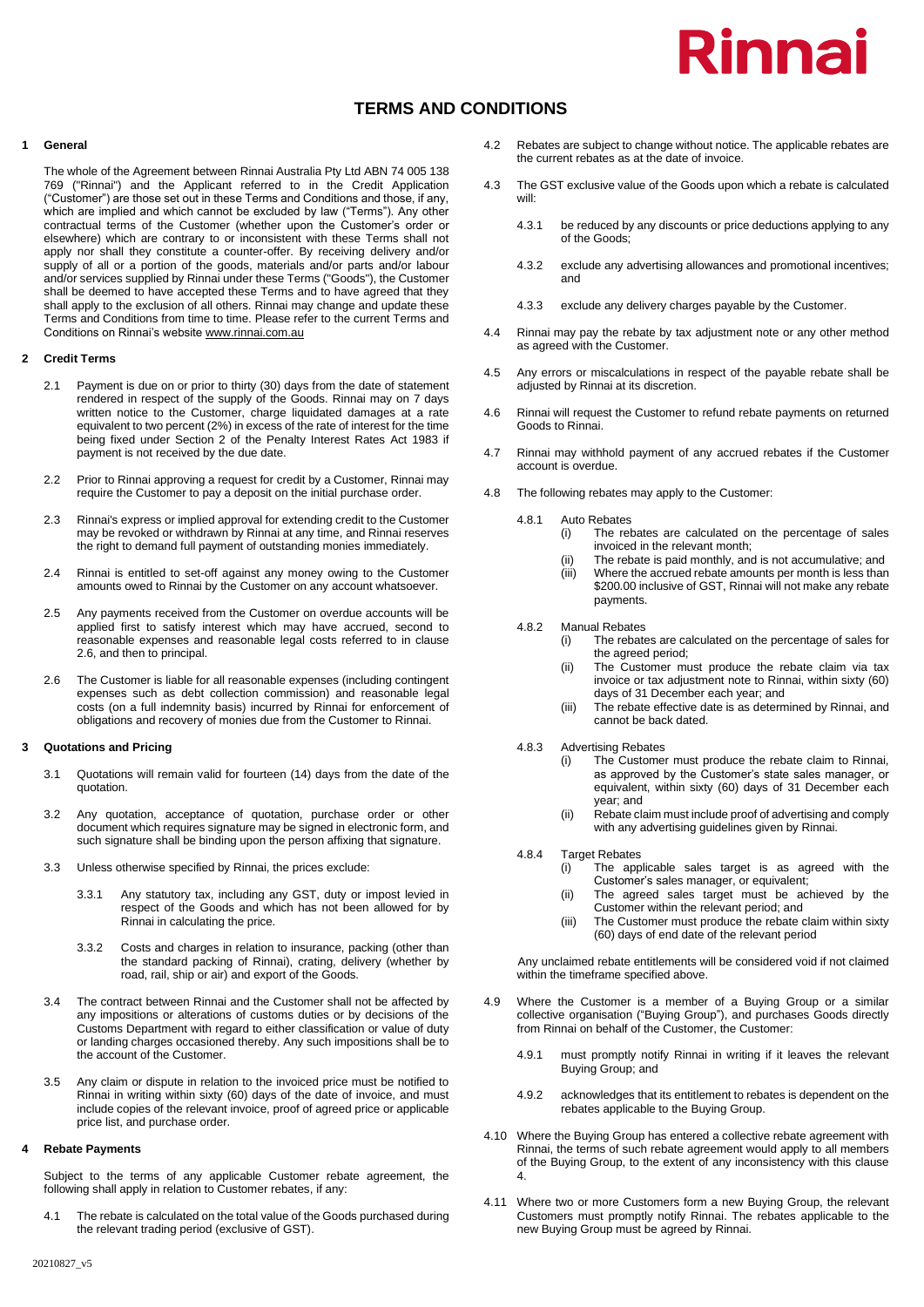# Rinnai

# **TERMS AND CONDITIONS**

#### **1 General**

The whole of the Agreement between Rinnai Australia Pty Ltd ABN 74 005 138 769 ("Rinnai") and the Applicant referred to in the Credit Application ("Customer") are those set out in these Terms and Conditions and those, if any, which are implied and which cannot be excluded by law ("Terms"). Any other contractual terms of the Customer (whether upon the Customer's order or elsewhere) which are contrary to or inconsistent with these Terms shall not apply nor shall they constitute a counter-offer. By receiving delivery and/or supply of all or a portion of the goods, materials and/or parts and/or labour and/or services supplied by Rinnai under these Terms ("Goods"), the Customer shall be deemed to have accepted these Terms and to have agreed that they shall apply to the exclusion of all others. Rinnai may change and update these Terms and Conditions from time to time. Please refer to the current Terms and Conditions on Rinnai's website www.rinnai.com.au

#### **2 Credit Terms**

- 2.1 Payment is due on or prior to thirty (30) days from the date of statement rendered in respect of the supply of the Goods. Rinnai may on 7 days written notice to the Customer, charge liquidated damages at a rate equivalent to two percent (2%) in excess of the rate of interest for the time being fixed under Section 2 of the Penalty Interest Rates Act 1983 if payment is not received by the due date.
- 2.2 Prior to Rinnai approving a request for credit by a Customer, Rinnai may require the Customer to pay a deposit on the initial purchase order.
- 2.3 Rinnai's express or implied approval for extending credit to the Customer may be revoked or withdrawn by Rinnai at any time, and Rinnai reserves the right to demand full payment of outstanding monies immediately.
- 2.4 Rinnai is entitled to set-off against any money owing to the Customer amounts owed to Rinnai by the Customer on any account whatsoever.
- 2.5 Any payments received from the Customer on overdue accounts will be applied first to satisfy interest which may have accrued, second to reasonable expenses and reasonable legal costs referred to in clause 2.6, and then to principal.
- 2.6 The Customer is liable for all reasonable expenses (including contingent expenses such as debt collection commission) and reasonable legal costs (on a full indemnity basis) incurred by Rinnai for enforcement of obligations and recovery of monies due from the Customer to Rinnai.

#### **3 Quotations and Pricing**

- 3.1 Quotations will remain valid for fourteen (14) days from the date of the quotation.
- 3.2 Any quotation, acceptance of quotation, purchase order or other document which requires signature may be signed in electronic form, and such signature shall be binding upon the person affixing that signature.
- 3.3 Unless otherwise specified by Rinnai, the prices exclude:
	- 3.3.1 Any statutory tax, including any GST, duty or impost levied in respect of the Goods and which has not been allowed for by Rinnai in calculating the price.
	- 3.3.2 Costs and charges in relation to insurance, packing (other than the standard packing of Rinnai), crating, delivery (whether by road, rail, ship or air) and export of the Goods.
- 3.4 The contract between Rinnai and the Customer shall not be affected by any impositions or alterations of customs duties or by decisions of the Customs Department with regard to either classification or value of duty or landing charges occasioned thereby. Any such impositions shall be to the account of the Customer.
- 3.5 Any claim or dispute in relation to the invoiced price must be notified to Rinnai in writing within sixty (60) days of the date of invoice, and must include copies of the relevant invoice, proof of agreed price or applicable price list, and purchase order.

#### **4 Rebate Payments**

Subject to the terms of any applicable Customer rebate agreement, the following shall apply in relation to Customer rebates, if any:

The rebate is calculated on the total value of the Goods purchased during the relevant trading period (exclusive of GST).

- 4.2 Rebates are subject to change without notice. The applicable rebates are the current rebates as at the date of invoice.
- 4.3 The GST exclusive value of the Goods upon which a rebate is calculated will:
	- 4.3.1 be reduced by any discounts or price deductions applying to any of the Goods;
	- 4.3.2 exclude any advertising allowances and promotional incentives; and
	- 4.3.3 exclude any delivery charges payable by the Customer.
- 4.4 Rinnai may pay the rebate by tax adjustment note or any other method as agreed with the Customer.
- 4.5 Any errors or miscalculations in respect of the payable rebate shall be adjusted by Rinnai at its discretion.
- 4.6 Rinnai will request the Customer to refund rebate payments on returned Goods to Rinnai.
- 4.7 Rinnai may withhold payment of any accrued rebates if the Customer account is overdue.
- 4.8 The following rebates may apply to the Customer:
	- 4.8.1 Auto Rebates
		- (i) The rebates are calculated on the percentage of sales invoiced in the relevant month;
		- (ii) The rebate is paid monthly, and is not accumulative; and<br>(iii) Where the accrued rebate amounts per month is less than Where the accrued rebate amounts per month is less than
		- \$200.00 inclusive of GST, Rinnai will not make any rebate payments.
	- 4.8.2 Manual Rebates
		- (i) The rebates are calculated on the percentage of sales for the agreed period;
			- (ii) The Customer must produce the rebate claim via tax invoice or tax adjustment note to Rinnai, within sixty (60) days of 31 December each year; and
			- (iii) The rebate effective date is as determined by Rinnai, and cannot be back dated.
	- 4.8.3 Advertising Rebates
		- (i) The Customer must produce the rebate claim to Rinnai, as approved by the Customer's state sales manager, or equivalent, within sixty (60) days of 31 December each year; and
		- (ii) Rebate claim must include proof of advertising and comply with any advertising guidelines given by Rinnai.
	- 4.8.4 Target Rebates
		- (i) The applicable sales target is as agreed with the Customer's sales manager, or equivalent;
		- (ii) The agreed sales target must be achieved by the Customer within the relevant period; and
		- (iii) The Customer must produce the rebate claim within sixty (60) days of end date of the relevant period

Any unclaimed rebate entitlements will be considered void if not claimed within the timeframe specified above.

- 4.9 Where the Customer is a member of a Buying Group or a similar collective organisation ("Buying Group"), and purchases Goods directly from Rinnai on behalf of the Customer, the Customer:
	- 4.9.1 must promptly notify Rinnai in writing if it leaves the relevant Buying Group; and
	- 4.9.2 acknowledges that its entitlement to rebates is dependent on the rebates applicable to the Buying Group.
- 4.10 Where the Buying Group has entered a collective rebate agreement with Rinnai, the terms of such rebate agreement would apply to all members of the Buying Group, to the extent of any inconsistency with this clause 4.
- 4.11 Where two or more Customers form a new Buying Group, the relevant Customers must promptly notify Rinnai. The rebates applicable to the new Buying Group must be agreed by Rinnai.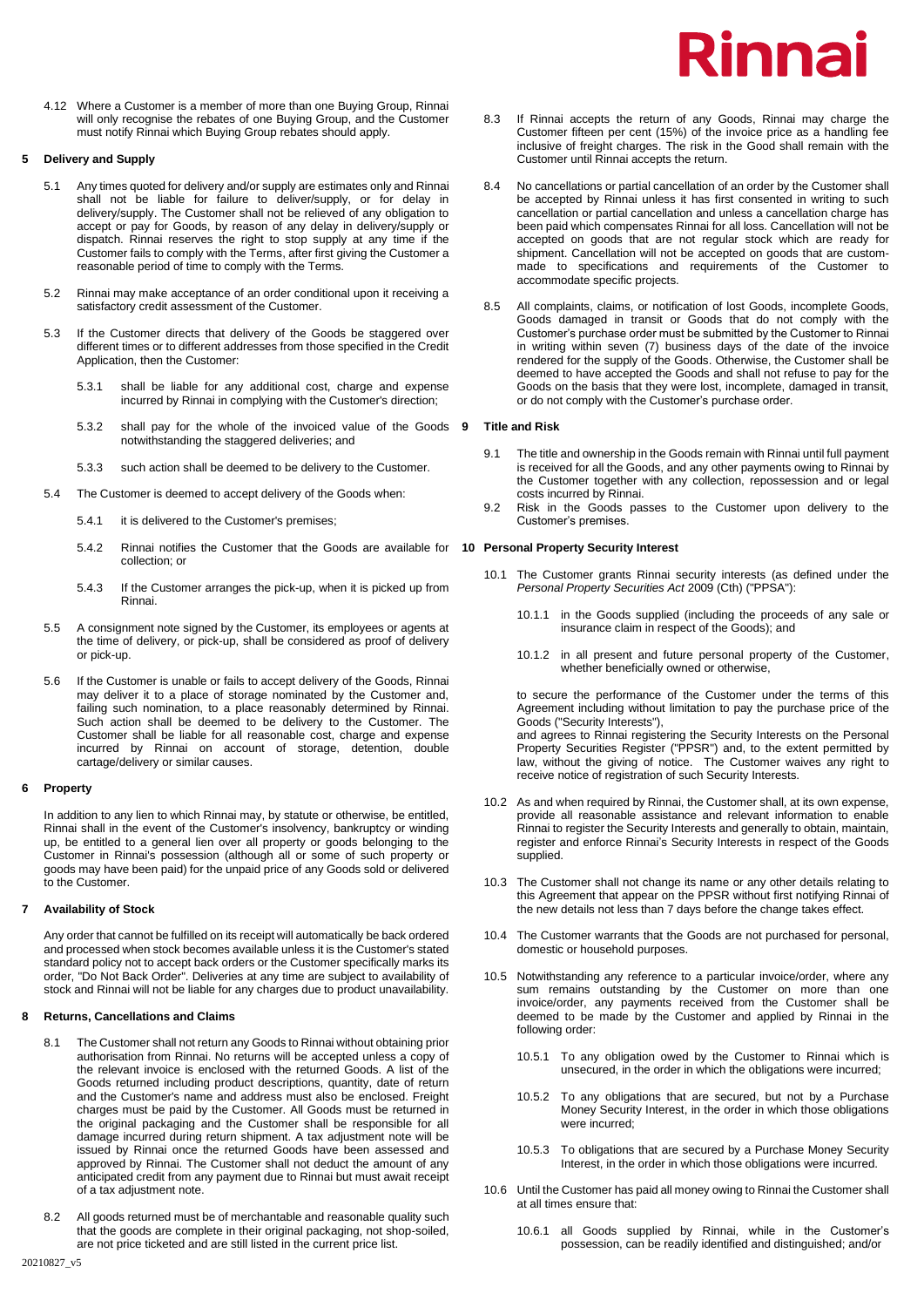# Rinnai

4.12 Where a Customer is a member of more than one Buying Group, Rinnai will only recognise the rebates of one Buying Group, and the Customer must notify Rinnai which Buying Group rebates should apply.

# **5 Delivery and Supply**

- 5.1 Any times quoted for delivery and/or supply are estimates only and Rinnai shall not be liable for failure to deliver/supply, or for delay in delivery/supply. The Customer shall not be relieved of any obligation to accept or pay for Goods, by reason of any delay in delivery/supply or dispatch. Rinnai reserves the right to stop supply at any time if the Customer fails to comply with the Terms, after first giving the Customer a reasonable period of time to comply with the Terms.
- 5.2 Rinnai may make acceptance of an order conditional upon it receiving a satisfactory credit assessment of the Customer.
- 5.3 If the Customer directs that delivery of the Goods be staggered over different times or to different addresses from those specified in the Credit Application, then the Customer:
	- 5.3.1 shall be liable for any additional cost, charge and expense incurred by Rinnai in complying with the Customer's direction;
	- 5.3.2 shall pay for the whole of the invoiced value of the Goods notwithstanding the staggered deliveries; and
	- 5.3.3 such action shall be deemed to be delivery to the Customer.
- 5.4 The Customer is deemed to accept delivery of the Goods when:
	- 5.4.1 it is delivered to the Customer's premises;
	- 5.4.2 Rinnai notifies the Customer that the Goods are available for **10 Personal Property Security Interest** collection; or
	- 5.4.3 If the Customer arranges the pick-up, when it is picked up from Rinnai.
- 5.5 A consignment note signed by the Customer, its employees or agents at the time of delivery, or pick-up, shall be considered as proof of delivery or pick-up.
- 5.6 If the Customer is unable or fails to accept delivery of the Goods, Rinnai may deliver it to a place of storage nominated by the Customer and, failing such nomination, to a place reasonably determined by Rinnai. Such action shall be deemed to be delivery to the Customer. The Customer shall be liable for all reasonable cost, charge and expense incurred by Rinnai on account of storage, detention, double cartage/delivery or similar causes.

# **6 Property**

In addition to any lien to which Rinnai may, by statute or otherwise, be entitled, Rinnai shall in the event of the Customer's insolvency, bankruptcy or winding up, be entitled to a general lien over all property or goods belonging to the Customer in Rinnai's possession (although all or some of such property or goods may have been paid) for the unpaid price of any Goods sold or delivered to the Customer.

# **7 Availability of Stock**

Any order that cannot be fulfilled on its receipt will automatically be back ordered and processed when stock becomes available unless it is the Customer's stated standard policy not to accept back orders or the Customer specifically marks its order, "Do Not Back Order". Deliveries at any time are subject to availability of stock and Rinnai will not be liable for any charges due to product unavailability.

# **8 Returns, Cancellations and Claims**

- 8.1 The Customer shall not return any Goods to Rinnai without obtaining prior authorisation from Rinnai. No returns will be accepted unless a copy of the relevant invoice is enclosed with the returned Goods. A list of the Goods returned including product descriptions, quantity, date of return and the Customer's name and address must also be enclosed. Freight charges must be paid by the Customer. All Goods must be returned in the original packaging and the Customer shall be responsible for all damage incurred during return shipment. A tax adjustment note will be issued by Rinnai once the returned Goods have been assessed and approved by Rinnai. The Customer shall not deduct the amount of any anticipated credit from any payment due to Rinnai but must await receipt of a tax adjustment note.
- 8.2 All goods returned must be of merchantable and reasonable quality such that the goods are complete in their original packaging, not shop-soiled, are not price ticketed and are still listed in the current price list.
- 8.3 If Rinnai accepts the return of any Goods, Rinnai may charge the Customer fifteen per cent (15%) of the invoice price as a handling fee inclusive of freight charges. The risk in the Good shall remain with the Customer until Rinnai accepts the return.
- 8.4 No cancellations or partial cancellation of an order by the Customer shall be accepted by Rinnai unless it has first consented in writing to such cancellation or partial cancellation and unless a cancellation charge has been paid which compensates Rinnai for all loss. Cancellation will not be accepted on goods that are not regular stock which are ready for shipment. Cancellation will not be accepted on goods that are custommade to specifications and requirements of the Customer to accommodate specific projects.
- 8.5 All complaints, claims, or notification of lost Goods, incomplete Goods, Goods damaged in transit or Goods that do not comply with the Customer's purchase order must be submitted by the Customer to Rinnai in writing within seven (7) business days of the date of the invoice rendered for the supply of the Goods. Otherwise, the Customer shall be deemed to have accepted the Goods and shall not refuse to pay for the Goods on the basis that they were lost, incomplete, damaged in transit, or do not comply with the Customer's purchase order.

### **9 Title and Risk**

- 9.1 The title and ownership in the Goods remain with Rinnai until full payment is received for all the Goods, and any other payments owing to Rinnai by the Customer together with any collection, repossession and or legal costs incurred by Rinnai.
- 9.2 Risk in the Goods passes to the Customer upon delivery to the Customer's premises.

- 10.1 The Customer grants Rinnai security interests (as defined under the *Personal Property Securities Act* 2009 (Cth) ("PPSA"):
	- 10.1.1 in the Goods supplied (including the proceeds of any sale or insurance claim in respect of the Goods); and
	- 10.1.2 in all present and future personal property of the Customer, whether beneficially owned or otherwise,

to secure the performance of the Customer under the terms of this Agreement including without limitation to pay the purchase price of the Goods ("Security Interests"),

and agrees to Rinnai registering the Security Interests on the Personal Property Securities Register ("PPSR") and, to the extent permitted by law, without the giving of notice. The Customer waives any right to receive notice of registration of such Security Interests.

- 10.2 As and when required by Rinnai, the Customer shall, at its own expense, provide all reasonable assistance and relevant information to enable Rinnai to register the Security Interests and generally to obtain, maintain, register and enforce Rinnai's Security Interests in respect of the Goods supplied.
- 10.3 The Customer shall not change its name or any other details relating to this Agreement that appear on the PPSR without first notifying Rinnai of the new details not less than 7 days before the change takes effect.
- 10.4 The Customer warrants that the Goods are not purchased for personal, domestic or household purposes.
- 10.5 Notwithstanding any reference to a particular invoice/order, where any sum remains outstanding by the Customer on more than one invoice/order, any payments received from the Customer shall be deemed to be made by the Customer and applied by Rinnai in the following order:
	- 10.5.1 To any obligation owed by the Customer to Rinnai which is unsecured, in the order in which the obligations were incurred;
	- 10.5.2 To any obligations that are secured, but not by a Purchase Money Security Interest, in the order in which those obligations were incurred;
	- 10.5.3 To obligations that are secured by a Purchase Money Security Interest, in the order in which those obligations were incurred.
- 10.6 Until the Customer has paid all money owing to Rinnai the Customer shall at all times ensure that:
	- 10.6.1 all Goods supplied by Rinnai, while in the Customer's possession, can be readily identified and distinguished; and/or